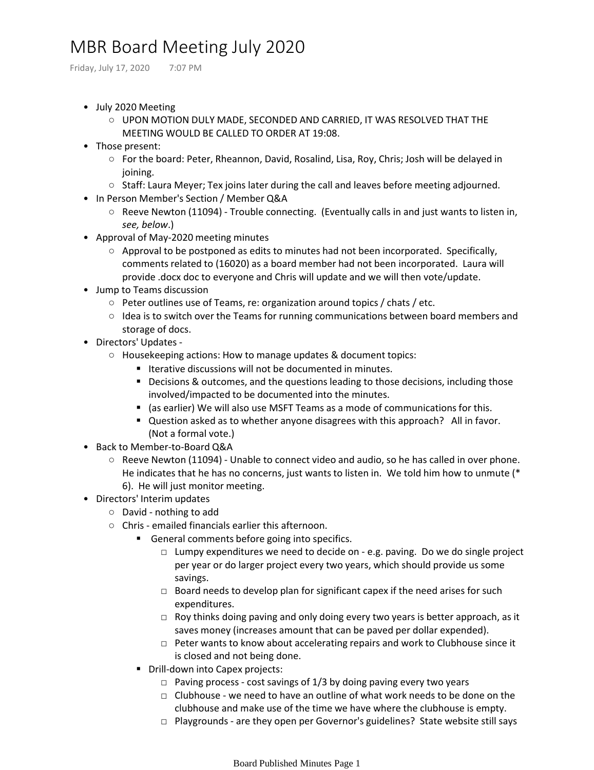## MBR Board Meeting July 2020

Friday, July 17, 2020 7:07 PM

- July 2020 Meeting
	- UPON MOTION DULY MADE, SECONDED AND CARRIED, IT WAS RESOLVED THAT THE MEETING WOULD BE CALLED TO ORDER AT 19:08.
- Those present:
	- For the board: Peter, Rheannon, David, Rosalind, Lisa, Roy, Chris; Josh will be delayed in joining.
	- Staff: Laura Meyer; Tex joins later during the call and leaves before meeting adjourned.
- In Person Member's Section / Member Q&A
	- Reeve Newton (11094) Trouble connecting. (Eventually calls in and just wants to listen in, *see, below*.)
- Approval of May-2020 meeting minutes
	- Approval to be postponed as edits to minutes had not been incorporated. Specifically, comments related to (16020) as a board member had not been incorporated. Laura will provide .docx doc to everyone and Chris will update and we will then vote/update.
- Jump to Teams discussion
	- Peter outlines use of Teams, re: organization around topics / chats / etc.
	- Idea is to switch over the Teams for running communications between board members and storage of docs.
- Directors' Updates
	- Housekeeping actions: How to manage updates & document topics:
		- Iterative discussions will not be documented in minutes.
		- Decisions & outcomes, and the questions leading to those decisions, including those involved/impacted to be documented into the minutes.
		- (as earlier) We will also use MSFT Teams as a mode of communications for this.
		- Question asked as to whether anyone disagrees with this approach? All in favor. (Not a formal vote.)
- Back to Member-to-Board Q&A
	- Reeve Newton (11094) Unable to connect video and audio, so he has called in over phone. He indicates that he has no concerns, just wants to listen in. We told him how to unmute (\* 6). He will just monitor meeting.
- Directors' Interim updates
	- David nothing to add
	- Chris emailed financials earlier this afternoon.
		- General comments before going into specifics.
			- □ Lumpy expenditures we need to decide on e.g. paving. Do we do single project per year or do larger project every two years, which should provide us some savings.
			- $\Box$  Board needs to develop plan for significant capex if the need arises for such expenditures.
			- $\Box$  Roy thinks doing paving and only doing every two years is better approach, as it saves money (increases amount that can be paved per dollar expended).
			- □ Peter wants to know about accelerating repairs and work to Clubhouse since it is closed and not being done.
		- Drill-down into Capex projects:
			- $\Box$  Paving process cost savings of 1/3 by doing paving every two years
			- $\Box$  Clubhouse we need to have an outline of what work needs to be done on the clubhouse and make use of the time we have where the clubhouse is empty.
			- □ Playgrounds are they open per Governor's guidelines? State website still says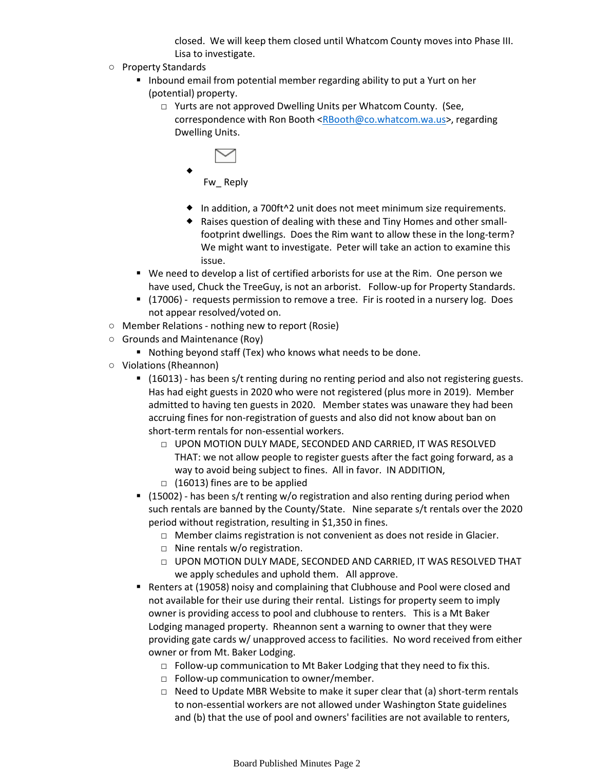closed. We will keep them closed until Whatcom County moves into Phase III. Lisa to investigate.

- Property Standards
	- Inbound email from potential member regarding ability to put a Yurt on her (potential) property.
		- □ Yurts are not approved Dwelling Units per Whatcom County. (See, correspondence with Ron Booth [<RBooth@co.whatcom.wa.us](mailto:RBooth@co.whatcom.wa.us)>, regarding Dwelling Units.

 $\blacklozenge$ 

Fw\_ Reply

- ◆ In addition, a 700ft^2 unit does not meet minimum size requirements.
- Raises question of dealing with these and Tiny Homes and other small footprint dwellings. Does the Rim want to allow these in the long-term? We might want to investigate. Peter will take an action to examine this issue.
- We need to develop a list of certified arborists for use at the Rim. One person we have used, Chuck the TreeGuy, is not an arborist. Follow-up for Property Standards.
- (17006) requests permission to remove a tree. Fir is rooted in a nursery log. Does not appear resolved/voted on.
- Member Relations nothing new to report (Rosie)
- Grounds and Maintenance (Roy)
	- Nothing beyond staff (Tex) who knows what needs to be done.
- Violations (Rheannon)
	- (16013) has been s/t renting during no renting period and also not registering guests. Has had eight guests in 2020 who were not registered (plus more in 2019). Member admitted to having ten guests in 2020. Member states was unaware they had been accruing fines for non-registration of guests and also did not know about ban on short-term rentals for non-essential workers.
		- □ UPON MOTION DULY MADE, SECONDED AND CARRIED, IT WAS RESOLVED THAT: we not allow people to register guests after the fact going forward, as a way to avoid being subject to fines. All in favor. IN ADDITION,  $\Box$  (16013) fines are to be applied
	- (15002) has been s/t renting w/o registration and also renting during period when such rentals are banned by the County/State. Nine separate s/t rentals over the 2020 period without registration, resulting in \$1,350 in fines.
		- □ Member claims registration is not convenient as does not reside in Glacier.
		- □ Nine rentals w/o registration.
		- □ UPON MOTION DULY MADE, SECONDED AND CARRIED, IT WAS RESOLVED THAT we apply schedules and uphold them. All approve.
	- Renters at (19058) noisy and complaining that Clubhouse and Pool were closed and not available for their use during their rental. Listings for property seem to imply owner is providing access to pool and clubhouse to renters. This is a Mt Baker Lodging managed property. Rheannon sent a warning to owner that they were providing gate cards w/ unapproved access to facilities. No word received from either owner or from Mt. Baker Lodging.
		- $\Box$  Follow-up communication to Mt Baker Lodging that they need to fix this.
		- $\Box$  Follow-up communication to owner/member.
		- □ Need to Update MBR Website to make it super clear that (a) short-term rentals to non-essential workers are not allowed under Washington State guidelines and (b) that the use of pool and owners' facilities are not available to renters,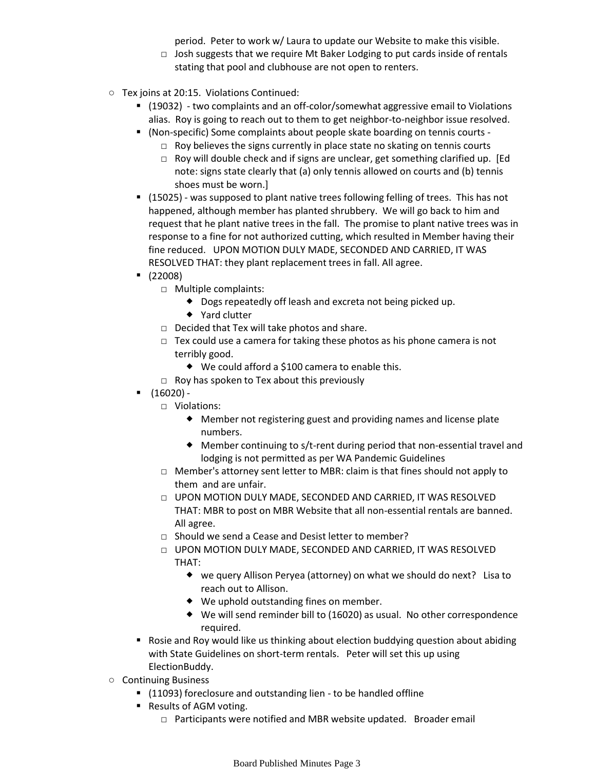period. Peter to work w/ Laura to update our Website to make this visible.

- $\Box$  Josh suggests that we require Mt Baker Lodging to put cards inside of rentals stating that pool and clubhouse are not open to renters.
- Tex joins at 20:15. Violations Continued:
	- (19032) two complaints and an off-color/somewhat aggressive email to Violations alias. Roy is going to reach out to them to get neighbor-to-neighbor issue resolved.
	- (Non-specific) Some complaints about people skate boarding on tennis courts -
		- □ Roy believes the signs currently in place state no skating on tennis courts
		- □ Roy will double check and if signs are unclear, get something clarified up. [Ed note: signs state clearly that (a) only tennis allowed on courts and (b) tennis shoes must be worn.]
	- (15025) was supposed to plant native trees following felling of trees. This has not happened, although member has planted shrubbery. We will go back to him and request that he plant native trees in the fall. The promise to plant native trees was in response to a fine for not authorized cutting, which resulted in Member having their fine reduced. UPON MOTION DULY MADE, SECONDED AND CARRIED, IT WAS RESOLVED THAT: they plant replacement trees in fall. All agree.
	- (22008)
		- □ Multiple complaints:
			- Dogs repeatedly off leash and excreta not being picked up.
			- ◆ Yard clutter
		- $\Box$  Decided that Tex will take photos and share.
		- $\Box$  Tex could use a camera for taking these photos as his phone camera is not terribly good.
			- ◆ We could afford a \$100 camera to enable this.
		- $\Box$  Roy has spoken to Tex about this previously
	- $(16020) -$ 
		- □ Violations:
			- Member not registering guest and providing names and license plate numbers.
			- Member continuing to s/t-rent during period that non-essential travel and lodging is not permitted as per WA Pandemic Guidelines
		- □ Member's attorney sent letter to MBR: claim is that fines should not apply to them and are unfair.
		- □ UPON MOTION DULY MADE, SECONDED AND CARRIED, IT WAS RESOLVED THAT: MBR to post on MBR Website that all non-essential rentals are banned. All agree.
		- □ Should we send a Cease and Desist letter to member?
		- □ UPON MOTION DULY MADE, SECONDED AND CARRIED, IT WAS RESOLVED THAT:
			- ◆ we query Allison Peryea (attorney) on what we should do next? Lisa to reach out to Allison.
			- We uphold outstanding fines on member.
			- We will send reminder bill to (16020) as usual. No other correspondence required.
	- Rosie and Roy would like us thinking about election buddying question about abiding with State Guidelines on short-term rentals. Peter will set this up using ElectionBuddy.
- Continuing Business
	- (11093) foreclosure and outstanding lien to be handled offline
	- Results of AGM voting.
		- □ Participants were notified and MBR website updated. Broader email